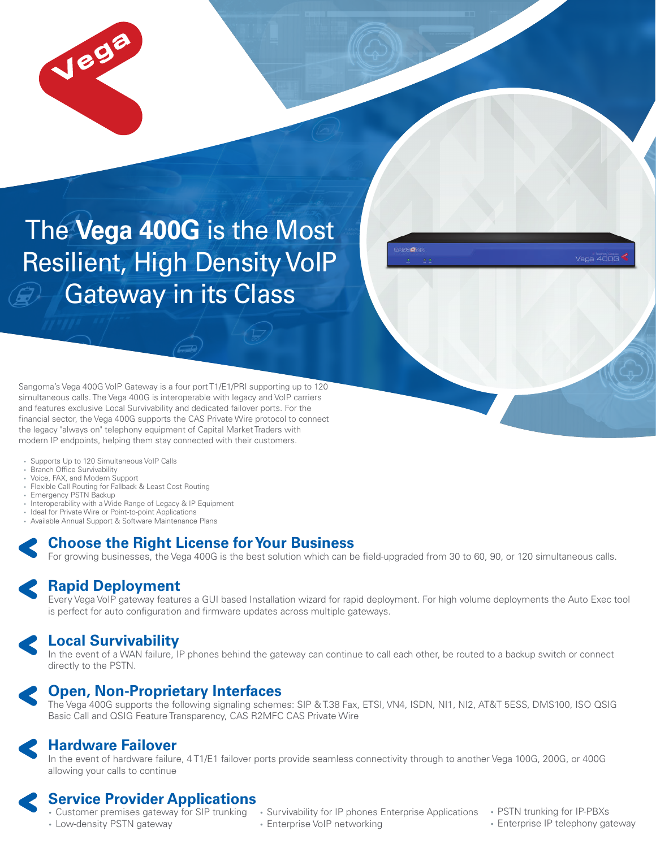

# The **Vega 400G** is the Most Resilient, High Density VoIP Gateway in its Class

Sangoma's Vega 400G VoIP Gateway is a four port T1/E1/PRI supporting up to 120 simultaneous calls. The Vega 400G is interoperable with legacy and VoIP carriers and features exclusive Local Survivability and dedicated failover ports. For the financial sector, the Vega 400G supports the CAS Private Wire protocol to connect the legacy "always on" telephony equipment of Capital Market Traders with modern IP endpoints, helping them stay connected with their customers.

- Supports Up to 120 Simultaneous VoIP Calls
- Branch Office Survivability
- Voice, FAX, and Modem Support
- Flexible Call Routing for Fallback & Least Cost Routing
- Emergency PSTN Backup
- Interoperability with a Wide Range of Legacy & IP Equipment
- Ideal for Private Wire or Point-to-point Applications
- Available Annual Support & Software Maintenance Plans

## **Choose the Right License for Your Business**

For growing businesses, the Vega 400G is the best solution which can be field-upgraded from 30 to 60, 90, or 120 simultaneous calls.

### **Rapid Deployment**

Every Vega VoIP gateway features a GUI based Installation wizard for rapid deployment. For high volume deployments the Auto Exec tool is perfect for auto configuration and firmware updates across multiple gateways.

## **Local Survivability**

In the event of a WAN failure, IP phones behind the gateway can continue to call each other, be routed to a backup switch or connect directly to the PSTN.



## **Open, Non-Proprietary Interfaces**

The Vega 400G supports the following signaling schemes: SIP & T.38 Fax, ETSI, VN4, ISDN, NI1, NI2, AT&T 5ESS, DMS100, ISO QSIG Basic Call and QSIG Feature Transparency, CAS R2MFC CAS Private Wire

## **Hardware Failover**

In the event of hardware failure, 4 T1/E1 failover ports provide seamless connectivity through to another Vega 100G, 200G, or 400G allowing your calls to continue

## **Service Provider Applications**

• Low-density PSTN gateway

- Customer premises gateway for SIP trunking Survivability for IP phones Enterprise Applications • Enterprise VoIP networking
- PSTN trunking for IP-PBXs
- Enterprise IP telephony gateway

 $A = A \cap C$